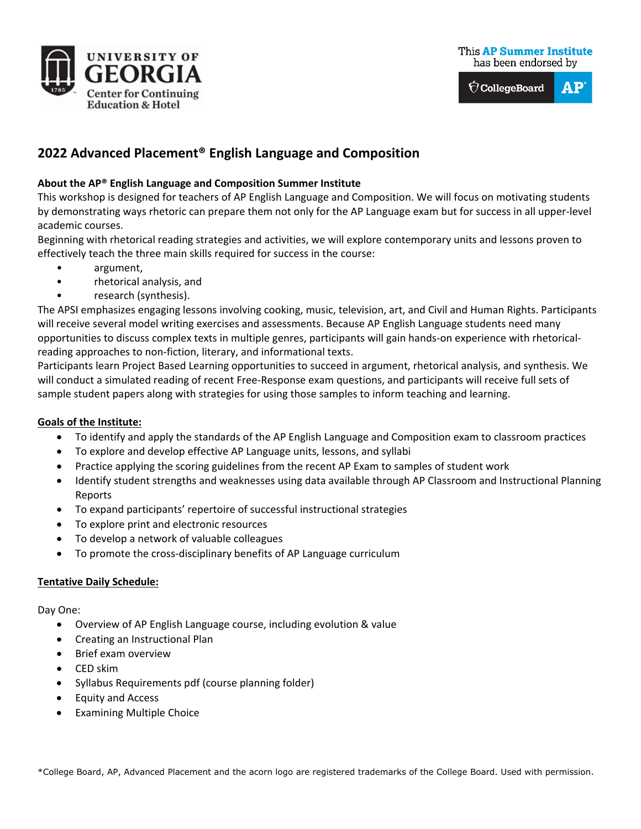





# **2022 Advanced Placement® English Language and Composition**

## **About the AP® English Language and Composition Summer Institute**

This workshop is designed for teachers of AP English Language and Composition. We will focus on motivating students by demonstrating ways rhetoric can prepare them not only for the AP Language exam but for success in all upper-level academic courses.

Beginning with rhetorical reading strategies and activities, we will explore contemporary units and lessons proven to effectively teach the three main skills required for success in the course:

- argument,
- rhetorical analysis, and
- research (synthesis).

The APSI emphasizes engaging lessons involving cooking, music, television, art, and Civil and Human Rights. Participants will receive several model writing exercises and assessments. Because AP English Language students need many opportunities to discuss complex texts in multiple genres, participants will gain hands-on experience with rhetoricalreading approaches to non-fiction, literary, and informational texts.

Participants learn Project Based Learning opportunities to succeed in argument, rhetorical analysis, and synthesis. We will conduct a simulated reading of recent Free-Response exam questions, and participants will receive full sets of sample student papers along with strategies for using those samples to inform teaching and learning.

## **Goals of the Institute:**

- To identify and apply the standards of the AP English Language and Composition exam to classroom practices
- To explore and develop effective AP Language units, lessons, and syllabi
- Practice applying the scoring guidelines from the recent AP Exam to samples of student work
- Identify student strengths and weaknesses using data available through AP Classroom and Instructional Planning Reports
- To expand participants' repertoire of successful instructional strategies
- To explore print and electronic resources
- To develop a network of valuable colleagues
- To promote the cross-disciplinary benefits of AP Language curriculum

#### **Tentative Daily Schedule:**

Day One:

- Overview of AP English Language course, including evolution & value
- Creating an Instructional Plan
- Brief exam overview
- CED skim
- Syllabus Requirements pdf (course planning folder)
- Equity and Access
- Examining Multiple Choice